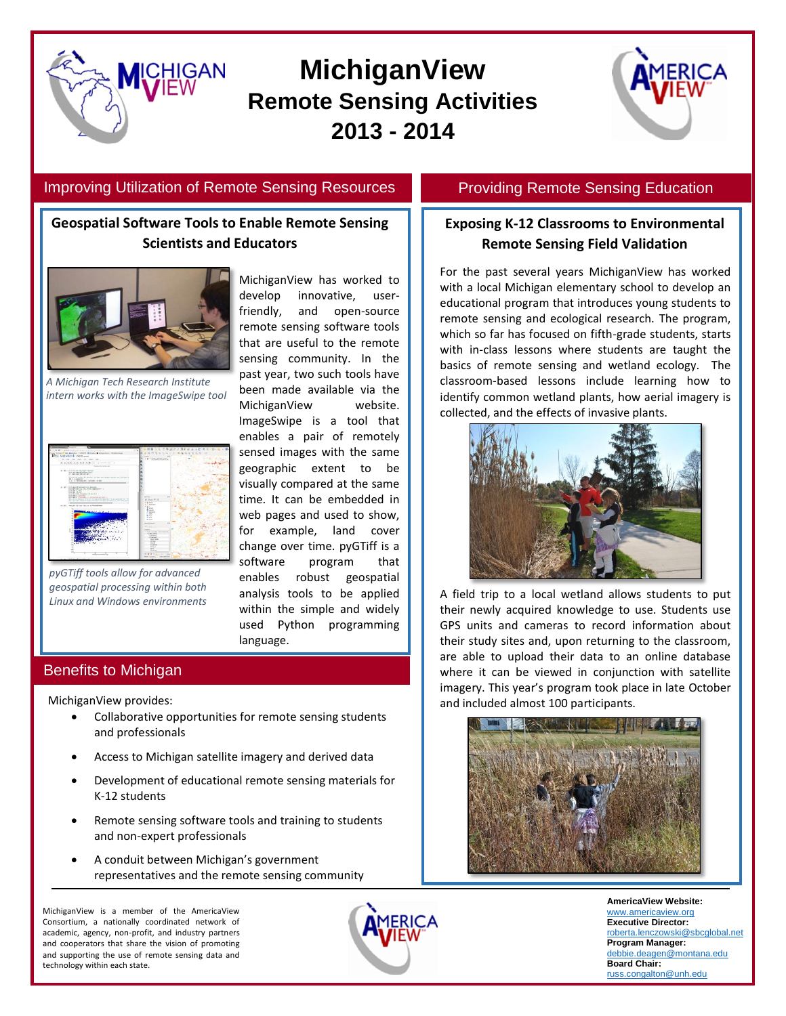



### Improving Utilization of Remote Sensing Resources

**ICHIGAN** 

# **Geospatial Software Tools to Enable Remote Sensing Scientists and Educators**



*A Michigan Tech Research Institute intern works with the ImageSwipe tool*



*pyGTiff tools allow for advanced geospatial processing within both Linux and Windows environments*

MichiganView has worked to develop innovative, userfriendly, and open-source remote sensing software tools that are useful to the remote sensing community. In the past year, two such tools have been made available via the MichiganView website. ImageSwipe is a tool that enables a pair of remotely sensed images with the same geographic extent to be visually compared at the same time. It can be embedded in web pages and used to show, for example, land cover change over time. pyGTiff is a software program that enables robust geospatial analysis tools to be applied within the simple and widely used Python programming language.

### Benefits to Michigan

MichiganView provides:

- Collaborative opportunities for remote sensing students and professionals
- Access to Michigan satellite imagery and derived data
- Development of educational remote sensing materials for K-12 students
- Remote sensing software tools and training to students and non-expert professionals
- A conduit between Michigan's government representatives and the remote sensing community

MichiganView is a member of the AmericaView Consortium, a nationally coordinated network of academic, agency, non-profit, and industry partners and cooperators that share the vision of promoting and supporting the use of remote sensing data and technology within each state.



## Providing Remote Sensing Education

## **Exposing K-12 Classrooms to Environmental Remote Sensing Field Validation**

For the past several years MichiganView has worked with a local Michigan elementary school to develop an educational program that introduces young students to remote sensing and ecological research. The program, which so far has focused on fifth-grade students, starts with in-class lessons where students are taught the basics of remote sensing and wetland ecology. The classroom-based lessons include learning how to identify common wetland plants, how aerial imagery is collected, and the effects of invasive plants.



A field trip to a local wetland allows students to put their newly acquired knowledge to use. Students use GPS units and cameras to record information about their study sites and, upon returning to the classroom, are able to upload their data to an online database where it can be viewed in conjunction with satellite imagery. This year's program took place in late October and included almost 100 participants.



**AmericaView Website:** [www.americaview.org](http://www.americaview.org/) **Executive Director:** obert<u>a.lenczowski@sbcglobal.net</u> **Program Manager:** [debbie.deagen@montana.edu](mailto:debbie.deagen@montana.edu) **Board Chair:** [russ.congalton@unh.edu](mailto:russ.congalton@unh.edu)